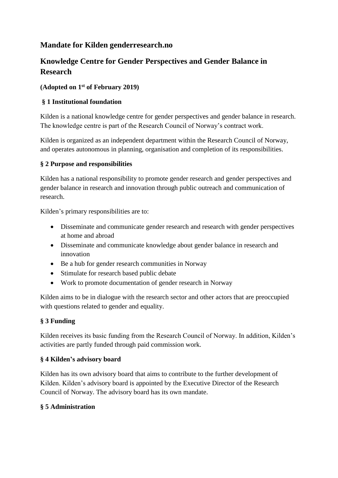# **Mandate for Kilden genderresearch.no**

# **Knowledge Centre for Gender Perspectives and Gender Balance in Research**

### **(Adopted on 1st of February 2019)**

### **§ 1 Institutional foundation**

Kilden is a national knowledge centre for gender perspectives and gender balance in research. The knowledge centre is part of the Research Council of Norway's contract work.

Kilden is organized as an independent department within the Research Council of Norway, and operates autonomous in planning, organisation and completion of its responsibilities.

#### **§ 2 Purpose and responsibilities**

Kilden has a national responsibility to promote gender research and gender perspectives and gender balance in research and innovation through public outreach and communication of research.

Kilden's primary responsibilities are to:

- Disseminate and communicate gender research and research with gender perspectives at home and abroad
- Disseminate and communicate knowledge about gender balance in research and innovation
- Be a hub for gender research communities in Norway
- Stimulate for research based public debate
- Work to promote documentation of gender research in Norway

Kilden aims to be in dialogue with the research sector and other actors that are preoccupied with questions related to gender and equality.

## **§ 3 Funding**

Kilden receives its basic funding from the Research Council of Norway. In addition, Kilden's activities are partly funded through paid commission work.

#### **§ 4 Kilden's advisory board**

Kilden has its own advisory board that aims to contribute to the further development of Kilden. Kilden's advisory board is appointed by the Executive Director of the Research Council of Norway. The advisory board has its own mandate.

#### **§ 5 Administration**